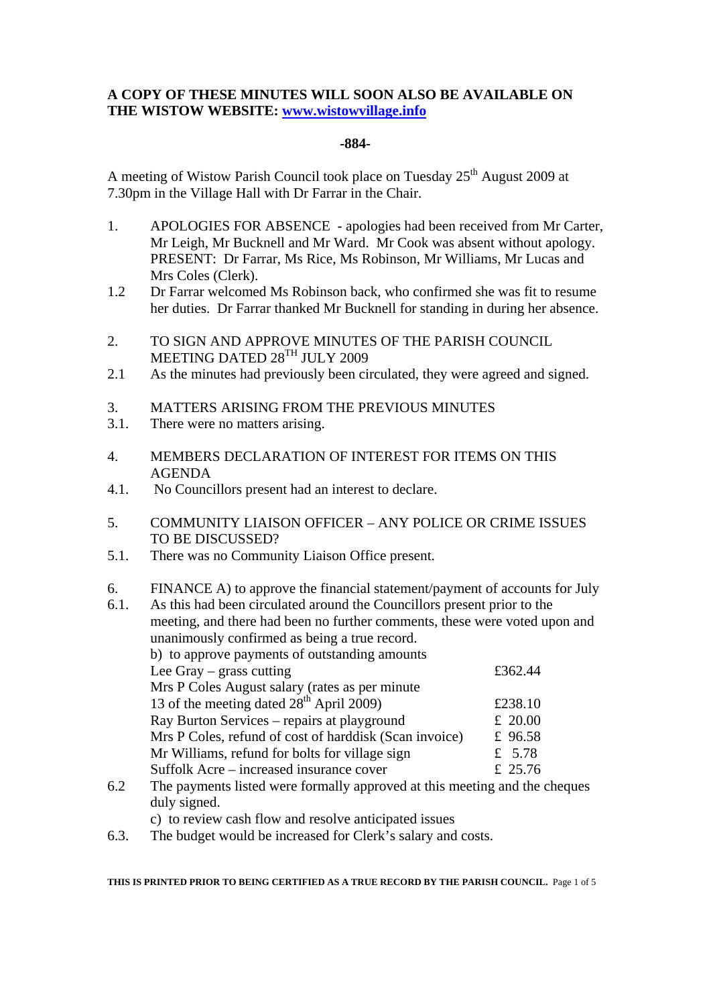# **A COPY OF THESE MINUTES WILL SOON ALSO BE AVAILABLE ON THE WISTOW WEBSITE: www.wistowvillage.info**

#### **-884-**

A meeting of Wistow Parish Council took place on Tuesday  $25<sup>th</sup>$  August 2009 at 7.30pm in the Village Hall with Dr Farrar in the Chair.

- 1. APOLOGIES FOR ABSENCE apologies had been received from Mr Carter, Mr Leigh, Mr Bucknell and Mr Ward. Mr Cook was absent without apology. PRESENT: Dr Farrar, Ms Rice, Ms Robinson, Mr Williams, Mr Lucas and Mrs Coles (Clerk).
- 1.2 Dr Farrar welcomed Ms Robinson back, who confirmed she was fit to resume her duties. Dr Farrar thanked Mr Bucknell for standing in during her absence.
- 2. TO SIGN AND APPROVE MINUTES OF THE PARISH COUNCIL MEETING DATED 28TH JULY 2009
- 2.1 As the minutes had previously been circulated, they were agreed and signed.
- 3. MATTERS ARISING FROM THE PREVIOUS MINUTES
- 3.1. There were no matters arising.
- 4. MEMBERS DECLARATION OF INTEREST FOR ITEMS ON THIS AGENDA
- 4.1. No Councillors present had an interest to declare.
- 5. COMMUNITY LIAISON OFFICER ANY POLICE OR CRIME ISSUES TO BE DISCUSSED?
- 5.1. There was no Community Liaison Office present.
- 6. FINANCE A) to approve the financial statement/payment of accounts for July

| 6.1. | As this had been circulated around the Councillors present prior to the    |           |  |  |
|------|----------------------------------------------------------------------------|-----------|--|--|
|      | meeting, and there had been no further comments, these were voted upon and |           |  |  |
|      | unanimously confirmed as being a true record.                              |           |  |  |
|      | b) to approve payments of outstanding amounts                              |           |  |  |
|      | Lee Gray $-$ grass cutting                                                 | £362.44   |  |  |
|      | Mrs P Coles August salary (rates as per minute)                            |           |  |  |
|      | 13 of the meeting dated 28 <sup>th</sup> April 2009)                       | £238.10   |  |  |
|      | Ray Burton Services – repairs at playground                                | £ $20.00$ |  |  |
|      | Mrs P Coles, refund of cost of harddisk (Scan invoice)                     | £ 96.58   |  |  |
|      | Mr Williams, refund for bolts for village sign                             | £ $5.78$  |  |  |
|      | Suffolk Acre – increased insurance cover                                   | £ 25.76   |  |  |
| 6 V  | The payments listed were formally enproved at this meeting and the sheques |           |  |  |

- 6.2 The payments listed were formally approved at this meeting and the cheques duly signed.
	- c) to review cash flow and resolve anticipated issues
- 6.3. The budget would be increased for Clerk's salary and costs.

**THIS IS PRINTED PRIOR TO BEING CERTIFIED AS A TRUE RECORD BY THE PARISH COUNCIL.** Page 1 of 5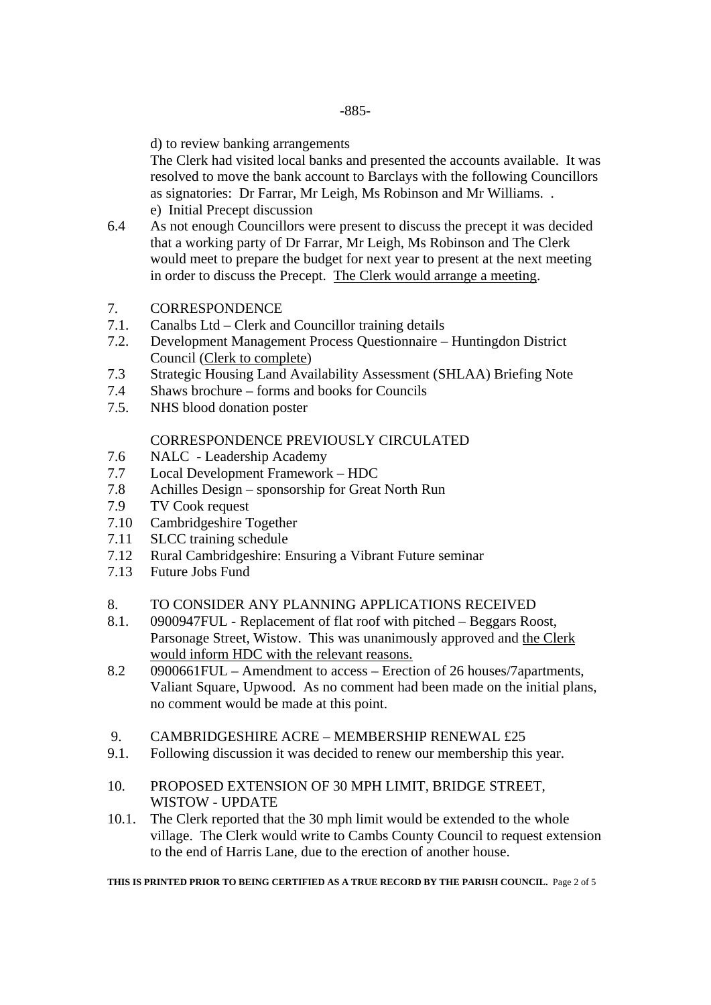d) to review banking arrangements

 The Clerk had visited local banks and presented the accounts available. It was resolved to move the bank account to Barclays with the following Councillors as signatories: Dr Farrar, Mr Leigh, Ms Robinson and Mr Williams. . e) Initial Precept discussion

- 6.4 As not enough Councillors were present to discuss the precept it was decided that a working party of Dr Farrar, Mr Leigh, Ms Robinson and The Clerk would meet to prepare the budget for next year to present at the next meeting in order to discuss the Precept. The Clerk would arrange a meeting.
- 7. CORRESPONDENCE
- 7.1. Canalbs Ltd Clerk and Councillor training details
- 7.2. Development Management Process Questionnaire Huntingdon District Council (Clerk to complete)
- 7.3 Strategic Housing Land Availability Assessment (SHLAA) Briefing Note
- 7.4 Shaws brochure forms and books for Councils
- 7.5. NHS blood donation poster

# CORRESPONDENCE PREVIOUSLY CIRCULATED

- 7.6 NALC Leadership Academy
- 7.7 Local Development Framework HDC
- 7.8 Achilles Design sponsorship for Great North Run
- 7.9 TV Cook request
- 7.10 Cambridgeshire Together
- 7.11 SLCC training schedule
- 7.12 Rural Cambridgeshire: Ensuring a Vibrant Future seminar
- 7.13 Future Jobs Fund

## 8. TO CONSIDER ANY PLANNING APPLICATIONS RECEIVED

- 8.1. 0900947FUL Replacement of flat roof with pitched Beggars Roost, Parsonage Street, Wistow. This was unanimously approved and the Clerk would inform HDC with the relevant reasons.
- 8.2 0900661FUL Amendment to access Erection of 26 houses/7apartments, Valiant Square, Upwood. As no comment had been made on the initial plans, no comment would be made at this point.
- 9. CAMBRIDGESHIRE ACRE MEMBERSHIP RENEWAL £25
- 9.1. Following discussion it was decided to renew our membership this year.
- 10. PROPOSED EXTENSION OF 30 MPH LIMIT, BRIDGE STREET, WISTOW - UPDATE
- 10.1. The Clerk reported that the 30 mph limit would be extended to the whole village. The Clerk would write to Cambs County Council to request extension to the end of Harris Lane, due to the erection of another house.

**THIS IS PRINTED PRIOR TO BEING CERTIFIED AS A TRUE RECORD BY THE PARISH COUNCIL.** Page 2 of 5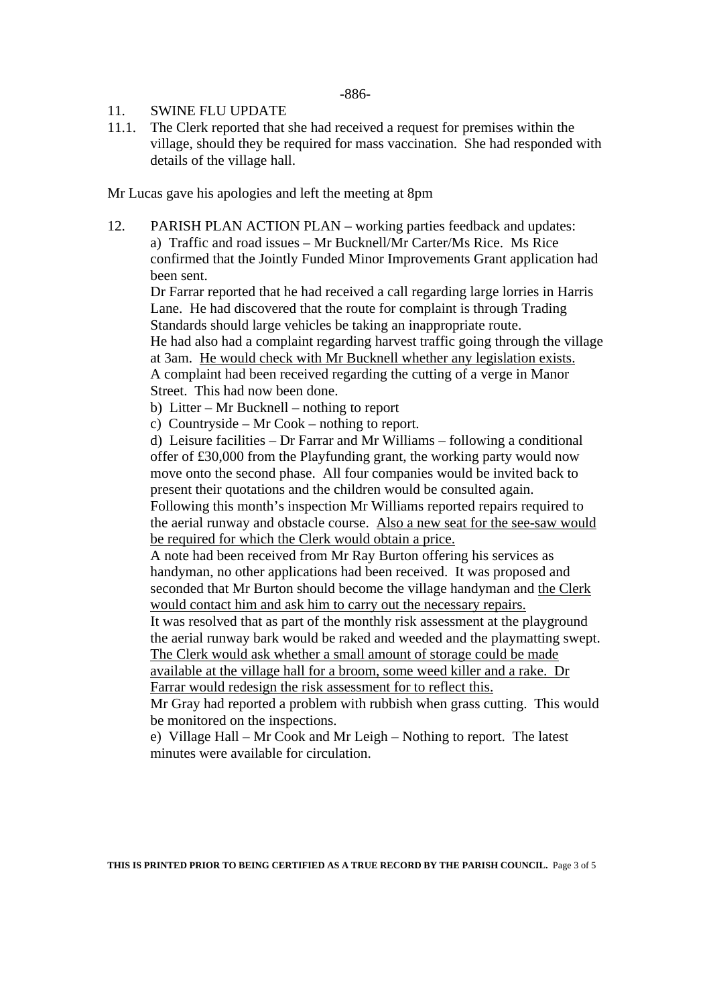#### 11. SWINE FLU UPDATE

11.1. The Clerk reported that she had received a request for premises within the village, should they be required for mass vaccination. She had responded with details of the village hall.

Mr Lucas gave his apologies and left the meeting at 8pm

12. PARISH PLAN ACTION PLAN – working parties feedback and updates: a) Traffic and road issues – Mr Bucknell/Mr Carter/Ms Rice. Ms Rice confirmed that the Jointly Funded Minor Improvements Grant application had been sent.

 Dr Farrar reported that he had received a call regarding large lorries in Harris Lane. He had discovered that the route for complaint is through Trading Standards should large vehicles be taking an inappropriate route.

 He had also had a complaint regarding harvest traffic going through the village at 3am. He would check with Mr Bucknell whether any legislation exists. A complaint had been received regarding the cutting of a verge in Manor Street. This had now been done.

b) Litter – Mr Bucknell – nothing to report

c) Countryside – Mr Cook – nothing to report.

d) Leisure facilities – Dr Farrar and Mr Williams – following a conditional offer of £30,000 from the Playfunding grant, the working party would now move onto the second phase. All four companies would be invited back to present their quotations and the children would be consulted again. Following this month's inspection Mr Williams reported repairs required to the aerial runway and obstacle course. Also a new seat for the see-saw would

be required for which the Clerk would obtain a price.

A note had been received from Mr Ray Burton offering his services as handyman, no other applications had been received. It was proposed and seconded that Mr Burton should become the village handyman and the Clerk would contact him and ask him to carry out the necessary repairs.

It was resolved that as part of the monthly risk assessment at the playground the aerial runway bark would be raked and weeded and the playmatting swept. The Clerk would ask whether a small amount of storage could be made

available at the village hall for a broom, some weed killer and a rake. Dr Farrar would redesign the risk assessment for to reflect this.

Mr Gray had reported a problem with rubbish when grass cutting. This would be monitored on the inspections.

e) Village Hall – Mr Cook and Mr Leigh – Nothing to report. The latest minutes were available for circulation.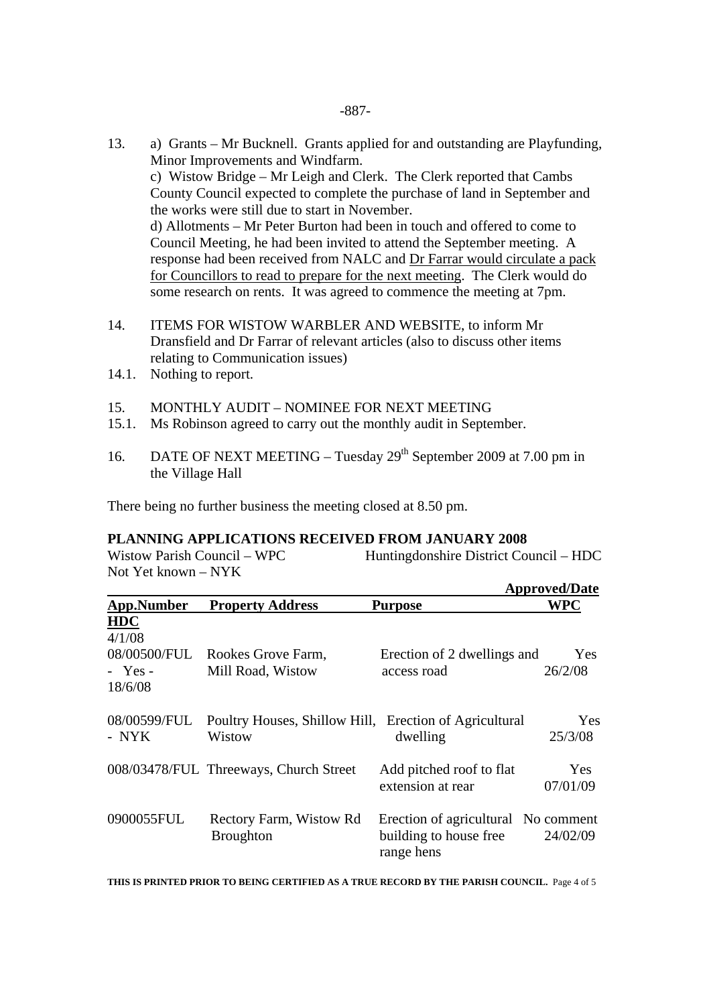- 13. a) Grants Mr Bucknell. Grants applied for and outstanding are Playfunding, Minor Improvements and Windfarm. c) Wistow Bridge – Mr Leigh and Clerk. The Clerk reported that Cambs County Council expected to complete the purchase of land in September and the works were still due to start in November. d) Allotments – Mr Peter Burton had been in touch and offered to come to Council Meeting, he had been invited to attend the September meeting. A response had been received from NALC and Dr Farrar would circulate a pack for Councillors to read to prepare for the next meeting. The Clerk would do some research on rents. It was agreed to commence the meeting at 7pm.
- 14. ITEMS FOR WISTOW WARBLER AND WEBSITE, to inform Mr Dransfield and Dr Farrar of relevant articles (also to discuss other items relating to Communication issues)
- 14.1. Nothing to report.
- 15. MONTHLY AUDIT NOMINEE FOR NEXT MEETING
- 15.1. Ms Robinson agreed to carry out the monthly audit in September.
- 16. DATE OF NEXT MEETING Tuesday 29<sup>th</sup> September 2009 at 7.00 pm in the Village Hall

There being no further business the meeting closed at 8.50 pm.

## **PLANNING APPLICATIONS RECEIVED FROM JANUARY 2008**

Wistow Parish Council – WPC Huntingdonshire District Council – HDC Not Yet known – NYK

|                       |                                                                  |                                                                             | <b>Approved/Date</b>  |
|-----------------------|------------------------------------------------------------------|-----------------------------------------------------------------------------|-----------------------|
| <b>App.Number</b>     | <b>Property Address</b>                                          | <b>Purpose</b>                                                              | WPC                   |
| <b>HDC</b><br>4/1/08  |                                                                  |                                                                             |                       |
| $-$ Yes -<br>18/6/08  | 08/00500/FUL Rookes Grove Farm,<br>Mill Road, Wistow             | Erection of 2 dwellings and<br>access road                                  | Yes<br>26/2/08        |
| 08/00599/FUL<br>- NYK | Poultry Houses, Shillow Hill, Erection of Agricultural<br>Wistow | dwelling                                                                    | <b>Yes</b><br>25/3/08 |
|                       | 008/03478/FUL Threeways, Church Street                           | Add pitched roof to flat<br>extension at rear                               | Yes<br>07/01/09       |
| 0900055FUL            | Rectory Farm, Wistow Rd<br><b>Broughton</b>                      | Erection of agricultural No comment<br>building to house free<br>range hens | 24/02/09              |

**THIS IS PRINTED PRIOR TO BEING CERTIFIED AS A TRUE RECORD BY THE PARISH COUNCIL.** Page 4 of 5